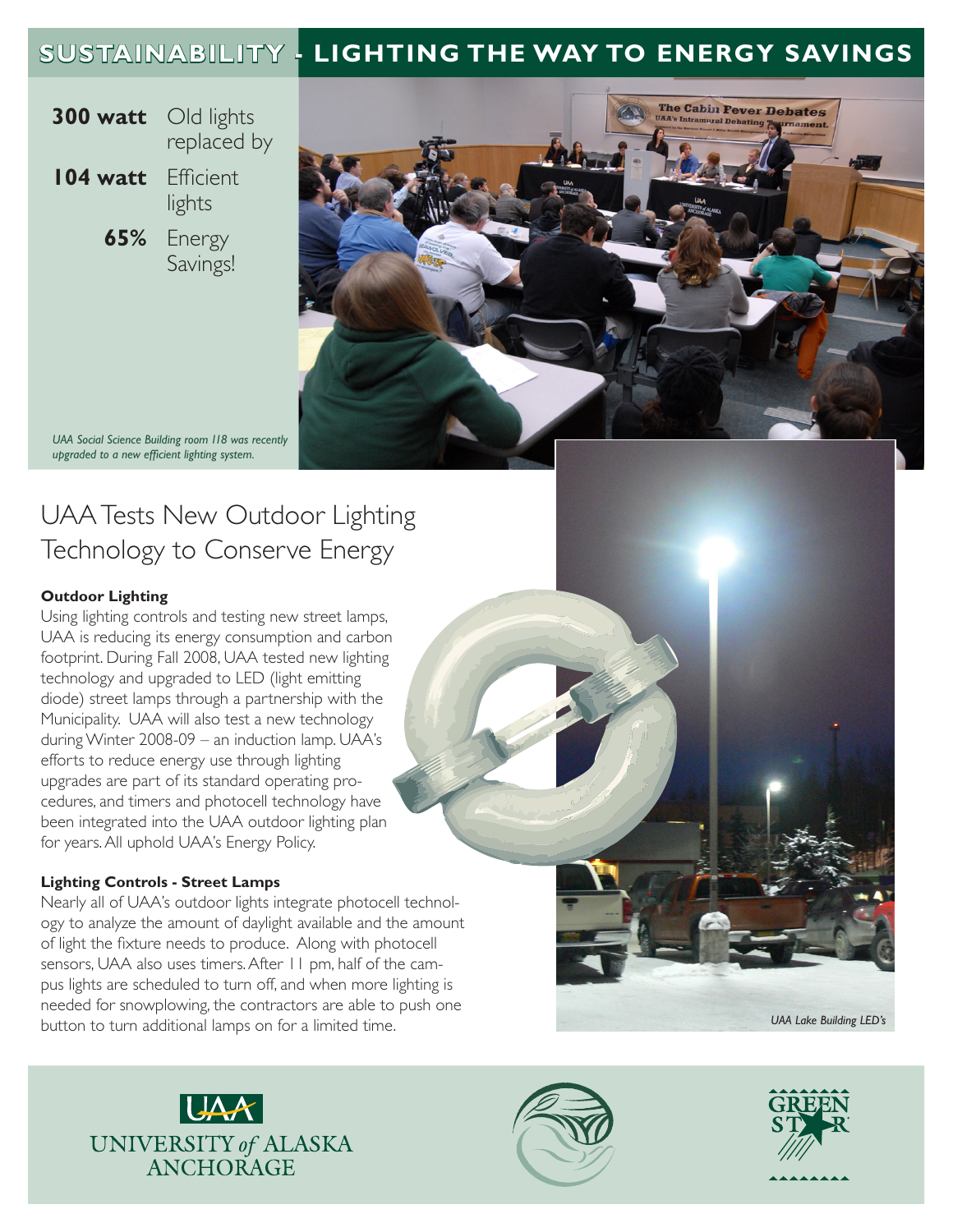# **SUSTAINABILITY - LIGHTING THE WAY TO ENERGY SAVINGS**

- **300 watt** Old lights replaced by
- **104 watt** Efficient lights
	- **65%** Energy Savings!



*UAA Social Science Building room 118 was recently upgraded to a new efficient lighting system.*

# UAA Tests New Outdoor Lighting Technology to Conserve Energy

## **Outdoor Lighting**

Using lighting controls and testing new street lamps, UAA is reducing its energy consumption and carbon footprint. During Fall 2008, UAA tested new lighting technology and upgraded to LED (light emitting diode) street lamps through a partnership with the Municipality. UAA will also test a new technology during Winter 2008-09 – an induction lamp. UAA's efforts to reduce energy use through lighting upgrades are part of its standard operating procedures, and timers and photocell technology have been integrated into the UAA outdoor lighting plan for years. All uphold UAA's Energy Policy.

## **Lighting Controls - Street Lamps**

Nearly all of UAA's outdoor lights integrate photocell technology to analyze the amount of daylight available and the amount of light the fixture needs to produce. Along with photocell sensors, UAA also uses timers. After 11 pm, half of the campus lights are scheduled to turn off, and when more lighting is needed for snowplowing, the contractors are able to push one button to turn additional lamps on for a limited time.<sup>1</sup> and the state of the state Building LED's